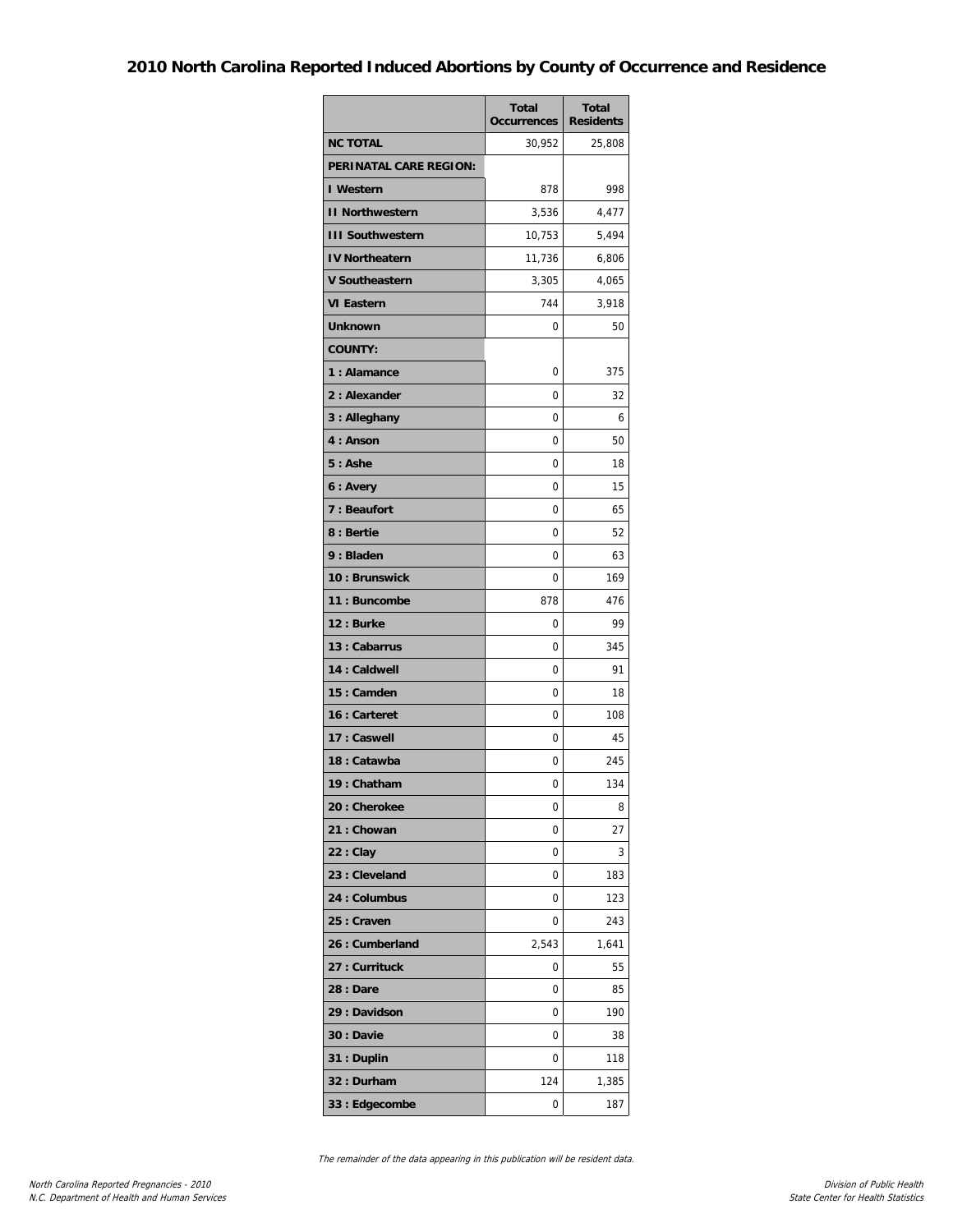## **2010 North Carolina Reported Induced Abortions by County of Occurrence and Residence**

|                               | <b>Total</b><br><b>Occurrences</b> | <b>Total</b><br><b>Residents</b> |
|-------------------------------|------------------------------------|----------------------------------|
| <b>NC TOTAL</b>               | 30,952                             | 25,808                           |
| <b>PERINATAL CARE REGION:</b> |                                    |                                  |
| I Western                     | 878                                | 998                              |
| <b>II Northwestern</b>        | 3,536                              | 4,477                            |
| <b>III Southwestern</b>       | 10,753                             | 5,494                            |
| <b>IV Northeatern</b>         | 11,736                             | 6,806                            |
| <b>V Southeastern</b>         | 3,305                              | 4,065                            |
| <b>VI Eastern</b>             | 744                                | 3,918                            |
| Unknown                       | 0                                  | 50                               |
| <b>COUNTY:</b>                |                                    |                                  |
| 1: Alamance                   | 0                                  | 375                              |
| 2: Alexander                  | 0                                  | 32                               |
| 3 : Alleghany                 | $\Omega$                           | 6                                |
| 4: Anson                      | 0                                  | 50                               |
| $5:$ Ashe                     | 0                                  | 18                               |
| 6 : Avery                     | 0                                  | 15                               |
| 7 : Beaufort                  | 0                                  | 65                               |
| 8 : Bertie                    | 0                                  | 52                               |
| 9 : Bladen                    | 0                                  | 63                               |
| 10: Brunswick                 | 0                                  | 169                              |
| 11: Buncombe                  | 878                                | 476                              |
| 12: Burke                     | 0                                  | 99                               |
| 13 : Cabarrus                 | 0                                  | 345                              |
| 14 : Caldwell                 | 0                                  | 91                               |
| 15: Camden                    | 0                                  | 18                               |
| 16 : Carteret                 | 0                                  | 108                              |
| 17 : Caswell                  | 0                                  | 45                               |
| 18: Catawba                   | 0                                  | 245                              |
| 19: Chatham                   | 0                                  | 134                              |
| 20: Cherokee                  | 0                                  | 8                                |
| 21: Chowan                    | 0                                  | 27                               |
| $22:$ Clay                    | 0                                  | 3                                |
| 23 : Cleveland                | 0                                  | 183                              |
| 24 : Columbus                 | 0                                  | 123                              |
| 25 : Craven                   | 0                                  | 243                              |
| 26 : Cumberland               | 2,543                              | 1,641                            |
| 27 : Currituck                | 0                                  | 55                               |
| <b>28 : Dare</b>              | 0                                  | 85                               |
| 29 : Davidson                 | 0                                  | 190                              |
| 30 : Davie                    | 0                                  | 38                               |
| 31 : Duplin                   | 0                                  | 118                              |
| 32: Durham                    | 124                                | 1,385                            |
| 33 : Edgecombe                | 0                                  | 187                              |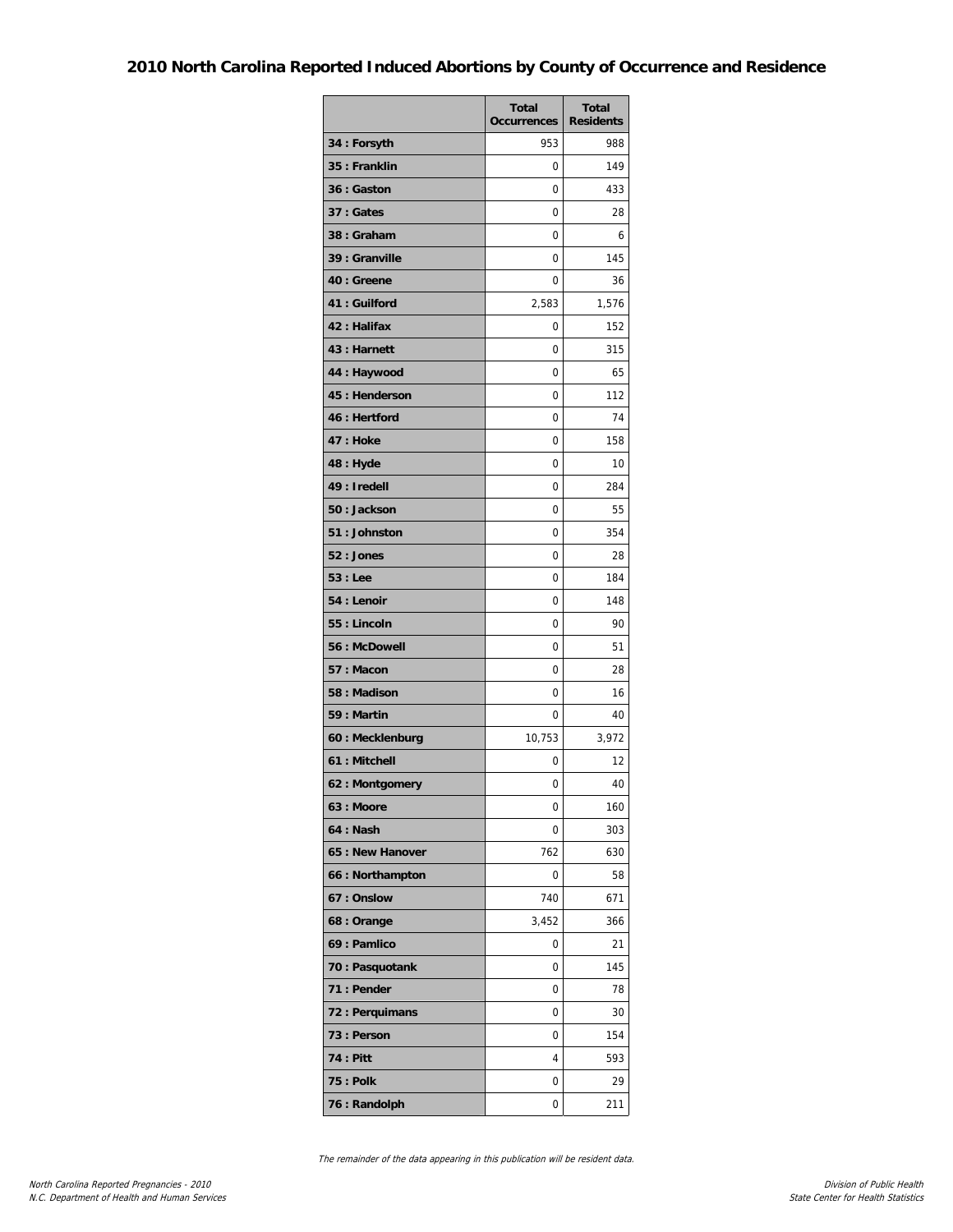## **2010 North Carolina Reported Induced Abortions by County of Occurrence and Residence**

|                  | <b>Total</b><br><b>Occurrences</b> | <b>Total</b><br><b>Residents</b> |
|------------------|------------------------------------|----------------------------------|
| 34 : Forsyth     | 953                                | 988                              |
| 35 : Franklin    | 0                                  | 149                              |
| 36 : Gaston      | 0                                  | 433                              |
| 37 : Gates       | 0                                  | 28                               |
| 38: Graham       | 0                                  | 6                                |
| 39 : Granville   | 0                                  | 145                              |
| 40 : Greene      | 0                                  | 36                               |
| 41: Guilford     | 2,583                              | 1,576                            |
| 42 : Halifax     | 0                                  | 152                              |
| 43 : Harnett     | 0                                  | 315                              |
| 44 : Haywood     | 0                                  | 65                               |
| 45 : Henderson   | 0                                  | 112                              |
| 46 : Hertford    | 0                                  | 74                               |
| 47 : Hoke        | 0                                  | 158                              |
| 48 : Hyde        | 0                                  | 10                               |
| 49 : Iredell     | 0                                  | 284                              |
| 50 : Jackson     | 0                                  | 55                               |
| 51: Johnston     | 0                                  | 354                              |
| 52 : Jones       | 0                                  | 28                               |
| 53 : Lee         | 0                                  | 184                              |
| 54 : Lenoir      | 0                                  | 148                              |
| 55 : Lincoln     | 0                                  | 90                               |
| 56 : McDowell    | 0                                  | 51                               |
| 57: Macon        | 0                                  | 28                               |
| 58 : Madison     | 0                                  | 16                               |
| 59 : Martin      | 0                                  | 40                               |
| 60 : Mecklenburg | 10,753                             | 3,972                            |
| 61 : Mitchell    | 0                                  | 12                               |
| 62: Montgomery   | 0                                  | 40                               |
| 63 : Moore       | 0                                  | 160                              |
| 64 : Nash        | 0                                  | 303                              |
| 65 : New Hanover | 762                                | 630                              |
| 66 : Northampton | 0                                  | 58                               |
| 67: Onslow       | 740                                | 671                              |
| 68 : Orange      | 3,452                              | 366                              |
| 69 : Pamlico     | 0                                  | 21                               |
| 70 : Pasquotank  | 0                                  | 145                              |
| 71 : Pender      | 0                                  | 78                               |
| 72 : Perquimans  | 0                                  | 30                               |
| 73 : Person      | 0                                  | 154                              |
| <b>74 : Pitt</b> | 4                                  | 593                              |
| <b>75 : Polk</b> | 0                                  | 29                               |
| 76 : Randolph    | 0                                  | 211                              |